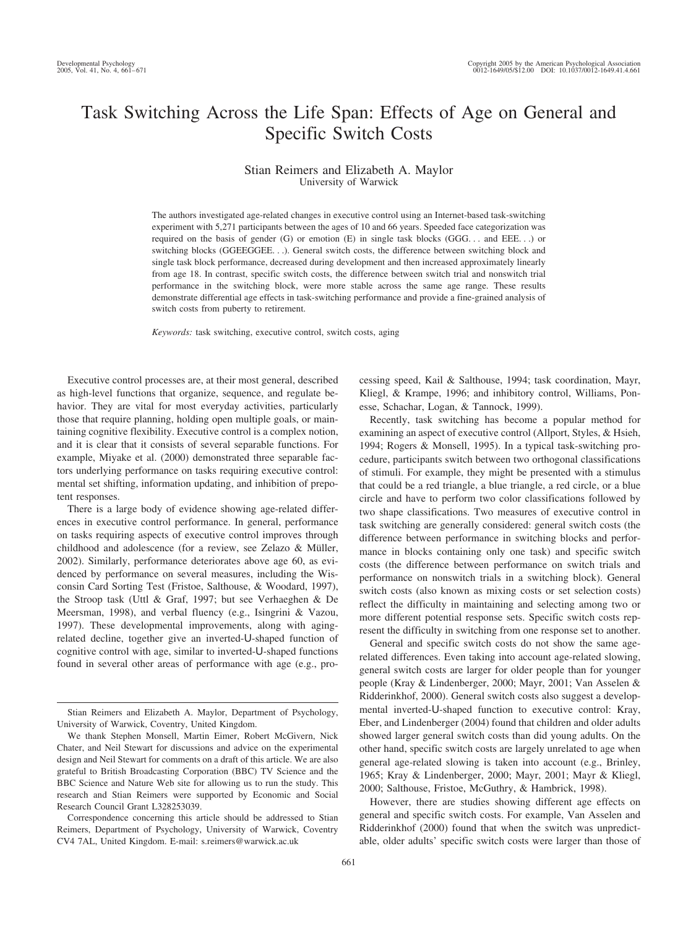# Task Switching Across the Life Span: Effects of Age on General and Specific Switch Costs

### Stian Reimers and Elizabeth A. Maylor University of Warwick

The authors investigated age-related changes in executive control using an Internet-based task-switching experiment with 5,271 participants between the ages of 10 and 66 years. Speeded face categorization was required on the basis of gender (G) or emotion (E) in single task blocks (GGG. . . and EEE. . .) or switching blocks (GGEEGGEE. . .). General switch costs, the difference between switching block and single task block performance, decreased during development and then increased approximately linearly from age 18. In contrast, specific switch costs, the difference between switch trial and nonswitch trial performance in the switching block, were more stable across the same age range. These results demonstrate differential age effects in task-switching performance and provide a fine-grained analysis of switch costs from puberty to retirement.

*Keywords:* task switching, executive control, switch costs, aging

Executive control processes are, at their most general, described as high-level functions that organize, sequence, and regulate behavior. They are vital for most everyday activities, particularly those that require planning, holding open multiple goals, or maintaining cognitive flexibility. Executive control is a complex notion, and it is clear that it consists of several separable functions. For example, Miyake et al. (2000) demonstrated three separable factors underlying performance on tasks requiring executive control: mental set shifting, information updating, and inhibition of prepotent responses.

There is a large body of evidence showing age-related differences in executive control performance. In general, performance on tasks requiring aspects of executive control improves through childhood and adolescence (for a review, see Zelazo  $&$  Müller, 2002). Similarly, performance deteriorates above age 60, as evidenced by performance on several measures, including the Wisconsin Card Sorting Test (Fristoe, Salthouse, & Woodard, 1997), the Stroop task (Uttl & Graf, 1997; but see Verhaeghen & De Meersman, 1998), and verbal fluency (e.g., Isingrini & Vazou, 1997). These developmental improvements, along with agingrelated decline, together give an inverted-U-shaped function of cognitive control with age, similar to inverted-U-shaped functions found in several other areas of performance with age (e.g., processing speed, Kail & Salthouse, 1994; task coordination, Mayr, Kliegl, & Krampe, 1996; and inhibitory control, Williams, Ponesse, Schachar, Logan, & Tannock, 1999).

Recently, task switching has become a popular method for examining an aspect of executive control (Allport, Styles, & Hsieh, 1994; Rogers & Monsell, 1995). In a typical task-switching procedure, participants switch between two orthogonal classifications of stimuli. For example, they might be presented with a stimulus that could be a red triangle, a blue triangle, a red circle, or a blue circle and have to perform two color classifications followed by two shape classifications. Two measures of executive control in task switching are generally considered: general switch costs (the difference between performance in switching blocks and performance in blocks containing only one task) and specific switch costs (the difference between performance on switch trials and performance on nonswitch trials in a switching block). General switch costs (also known as mixing costs or set selection costs) reflect the difficulty in maintaining and selecting among two or more different potential response sets. Specific switch costs represent the difficulty in switching from one response set to another.

General and specific switch costs do not show the same agerelated differences. Even taking into account age-related slowing, general switch costs are larger for older people than for younger people (Kray & Lindenberger, 2000; Mayr, 2001; Van Asselen & Ridderinkhof, 2000). General switch costs also suggest a developmental inverted-U-shaped function to executive control: Kray, Eber, and Lindenberger (2004) found that children and older adults showed larger general switch costs than did young adults. On the other hand, specific switch costs are largely unrelated to age when general age-related slowing is taken into account (e.g., Brinley, 1965; Kray & Lindenberger, 2000; Mayr, 2001; Mayr & Kliegl, 2000; Salthouse, Fristoe, McGuthry, & Hambrick, 1998).

However, there are studies showing different age effects on general and specific switch costs. For example, Van Asselen and Ridderinkhof (2000) found that when the switch was unpredictable, older adults' specific switch costs were larger than those of

Stian Reimers and Elizabeth A. Maylor, Department of Psychology, University of Warwick, Coventry, United Kingdom.

We thank Stephen Monsell, Martin Eimer, Robert McGivern, Nick Chater, and Neil Stewart for discussions and advice on the experimental design and Neil Stewart for comments on a draft of this article. We are also grateful to British Broadcasting Corporation (BBC) TV Science and the BBC Science and Nature Web site for allowing us to run the study. This research and Stian Reimers were supported by Economic and Social Research Council Grant L328253039.

Correspondence concerning this article should be addressed to Stian Reimers, Department of Psychology, University of Warwick, Coventry CV4 7AL, United Kingdom. E-mail: s.reimers@warwick.ac.uk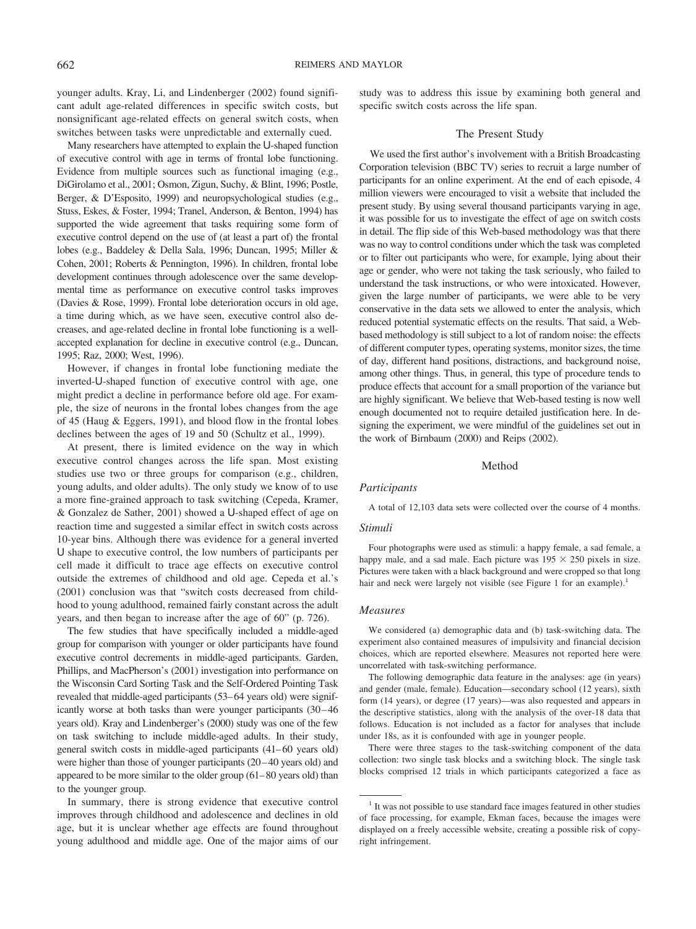younger adults. Kray, Li, and Lindenberger (2002) found significant adult age-related differences in specific switch costs, but nonsignificant age-related effects on general switch costs, when switches between tasks were unpredictable and externally cued.

Many researchers have attempted to explain the U-shaped function of executive control with age in terms of frontal lobe functioning. Evidence from multiple sources such as functional imaging (e.g., DiGirolamo et al., 2001; Osmon, Zigun, Suchy, & Blint, 1996; Postle, Berger, & D'Esposito, 1999) and neuropsychological studies (e.g., Stuss, Eskes, & Foster, 1994; Tranel, Anderson, & Benton, 1994) has supported the wide agreement that tasks requiring some form of executive control depend on the use of (at least a part of) the frontal lobes (e.g., Baddeley & Della Sala, 1996; Duncan, 1995; Miller & Cohen, 2001; Roberts & Pennington, 1996). In children, frontal lobe development continues through adolescence over the same developmental time as performance on executive control tasks improves (Davies & Rose, 1999). Frontal lobe deterioration occurs in old age, a time during which, as we have seen, executive control also decreases, and age-related decline in frontal lobe functioning is a wellaccepted explanation for decline in executive control (e.g., Duncan, 1995; Raz, 2000; West, 1996).

However, if changes in frontal lobe functioning mediate the inverted-U-shaped function of executive control with age, one might predict a decline in performance before old age. For example, the size of neurons in the frontal lobes changes from the age of 45 (Haug & Eggers, 1991), and blood flow in the frontal lobes declines between the ages of 19 and 50 (Schultz et al., 1999).

At present, there is limited evidence on the way in which executive control changes across the life span. Most existing studies use two or three groups for comparison (e.g., children, young adults, and older adults). The only study we know of to use a more fine-grained approach to task switching (Cepeda, Kramer, & Gonzalez de Sather, 2001) showed a U-shaped effect of age on reaction time and suggested a similar effect in switch costs across 10-year bins. Although there was evidence for a general inverted U shape to executive control, the low numbers of participants per cell made it difficult to trace age effects on executive control outside the extremes of childhood and old age. Cepeda et al.'s (2001) conclusion was that "switch costs decreased from childhood to young adulthood, remained fairly constant across the adult years, and then began to increase after the age of 60" (p. 726).

The few studies that have specifically included a middle-aged group for comparison with younger or older participants have found executive control decrements in middle-aged participants. Garden, Phillips, and MacPherson's (2001) investigation into performance on the Wisconsin Card Sorting Task and the Self-Ordered Pointing Task revealed that middle-aged participants (53–64 years old) were significantly worse at both tasks than were younger participants (30–46 years old). Kray and Lindenberger's (2000) study was one of the few on task switching to include middle-aged adults. In their study, general switch costs in middle-aged participants (41–60 years old) were higher than those of younger participants (20–40 years old) and appeared to be more similar to the older group (61–80 years old) than to the younger group.

In summary, there is strong evidence that executive control improves through childhood and adolescence and declines in old age, but it is unclear whether age effects are found throughout young adulthood and middle age. One of the major aims of our study was to address this issue by examining both general and specific switch costs across the life span.

# The Present Study

We used the first author's involvement with a British Broadcasting Corporation television (BBC TV) series to recruit a large number of participants for an online experiment. At the end of each episode, 4 million viewers were encouraged to visit a website that included the present study. By using several thousand participants varying in age, it was possible for us to investigate the effect of age on switch costs in detail. The flip side of this Web-based methodology was that there was no way to control conditions under which the task was completed or to filter out participants who were, for example, lying about their age or gender, who were not taking the task seriously, who failed to understand the task instructions, or who were intoxicated. However, given the large number of participants, we were able to be very conservative in the data sets we allowed to enter the analysis, which reduced potential systematic effects on the results. That said, a Webbased methodology is still subject to a lot of random noise: the effects of different computer types, operating systems, monitor sizes, the time of day, different hand positions, distractions, and background noise, among other things. Thus, in general, this type of procedure tends to produce effects that account for a small proportion of the variance but are highly significant. We believe that Web-based testing is now well enough documented not to require detailed justification here. In designing the experiment, we were mindful of the guidelines set out in the work of Birnbaum (2000) and Reips (2002).

### Method

#### *Participants*

A total of 12,103 data sets were collected over the course of 4 months.

#### *Stimuli*

Four photographs were used as stimuli: a happy female, a sad female, a happy male, and a sad male. Each picture was  $195 \times 250$  pixels in size. Pictures were taken with a black background and were cropped so that long hair and neck were largely not visible (see Figure 1 for an example).<sup>1</sup>

### *Measures*

We considered (a) demographic data and (b) task-switching data. The experiment also contained measures of impulsivity and financial decision choices, which are reported elsewhere. Measures not reported here were uncorrelated with task-switching performance.

The following demographic data feature in the analyses: age (in years) and gender (male, female). Education—secondary school (12 years), sixth form (14 years), or degree (17 years)—was also requested and appears in the descriptive statistics, along with the analysis of the over-18 data that follows. Education is not included as a factor for analyses that include under 18s, as it is confounded with age in younger people.

There were three stages to the task-switching component of the data collection: two single task blocks and a switching block. The single task blocks comprised 12 trials in which participants categorized a face as

<sup>&</sup>lt;sup>1</sup> It was not possible to use standard face images featured in other studies of face processing, for example, Ekman faces, because the images were displayed on a freely accessible website, creating a possible risk of copyright infringement.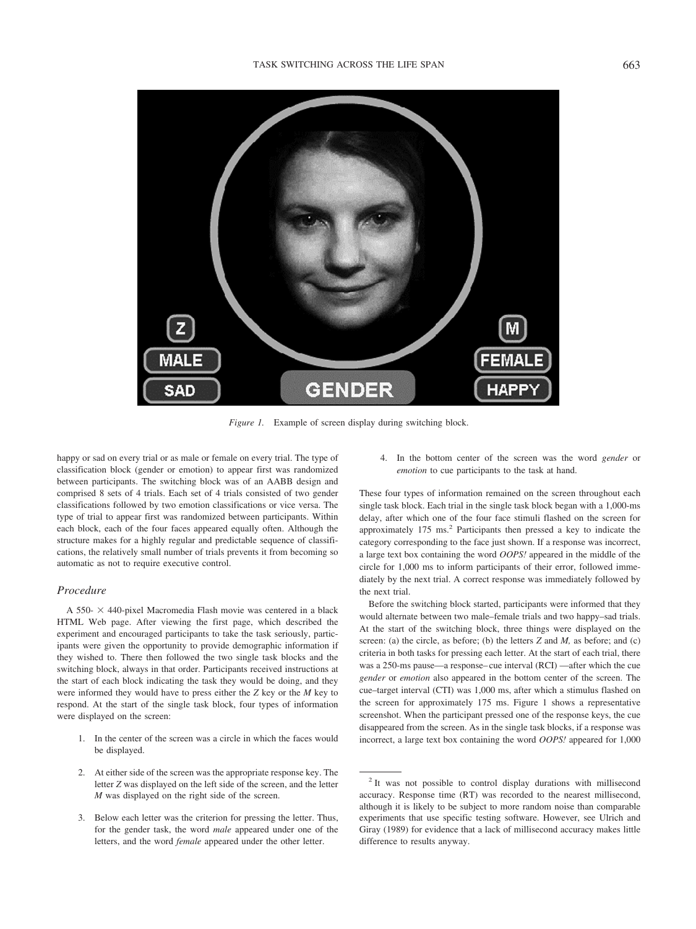

*Figure 1.* Example of screen display during switching block.

happy or sad on every trial or as male or female on every trial. The type of classification block (gender or emotion) to appear first was randomized between participants. The switching block was of an AABB design and comprised 8 sets of 4 trials. Each set of 4 trials consisted of two gender classifications followed by two emotion classifications or vice versa. The type of trial to appear first was randomized between participants. Within each block, each of the four faces appeared equally often. Although the structure makes for a highly regular and predictable sequence of classifications, the relatively small number of trials prevents it from becoming so automatic as not to require executive control.

### *Procedure*

A 550- $\times$  440-pixel Macromedia Flash movie was centered in a black HTML Web page. After viewing the first page, which described the experiment and encouraged participants to take the task seriously, participants were given the opportunity to provide demographic information if they wished to. There then followed the two single task blocks and the switching block, always in that order. Participants received instructions at the start of each block indicating the task they would be doing, and they were informed they would have to press either the *Z* key or the *M* key to respond. At the start of the single task block, four types of information were displayed on the screen:

- 1. In the center of the screen was a circle in which the faces would be displayed.
- 2. At either side of the screen was the appropriate response key. The letter *Z* was displayed on the left side of the screen, and the letter *M* was displayed on the right side of the screen.
- 3. Below each letter was the criterion for pressing the letter. Thus, for the gender task, the word *male* appeared under one of the letters, and the word *female* appeared under the other letter.

4. In the bottom center of the screen was the word *gender* or *emotion* to cue participants to the task at hand.

These four types of information remained on the screen throughout each single task block. Each trial in the single task block began with a 1,000-ms delay, after which one of the four face stimuli flashed on the screen for approximately 175 ms.<sup>2</sup> Participants then pressed a key to indicate the category corresponding to the face just shown. If a response was incorrect, a large text box containing the word *OOPS!* appeared in the middle of the circle for 1,000 ms to inform participants of their error, followed immediately by the next trial. A correct response was immediately followed by the next trial.

Before the switching block started, participants were informed that they would alternate between two male–female trials and two happy–sad trials. At the start of the switching block, three things were displayed on the screen: (a) the circle, as before; (b) the letters *Z* and *M,* as before; and (c) criteria in both tasks for pressing each letter. At the start of each trial, there was a 250-ms pause—a response–cue interval (RCI) —after which the cue *gender* or *emotion* also appeared in the bottom center of the screen. The cue–target interval (CTI) was 1,000 ms, after which a stimulus flashed on the screen for approximately 175 ms. Figure 1 shows a representative screenshot. When the participant pressed one of the response keys, the cue disappeared from the screen. As in the single task blocks, if a response was incorrect, a large text box containing the word *OOPS!* appeared for 1,000

<sup>&</sup>lt;sup>2</sup> It was not possible to control display durations with millisecond accuracy. Response time (RT) was recorded to the nearest millisecond, although it is likely to be subject to more random noise than comparable experiments that use specific testing software. However, see Ulrich and Giray (1989) for evidence that a lack of millisecond accuracy makes little difference to results anyway.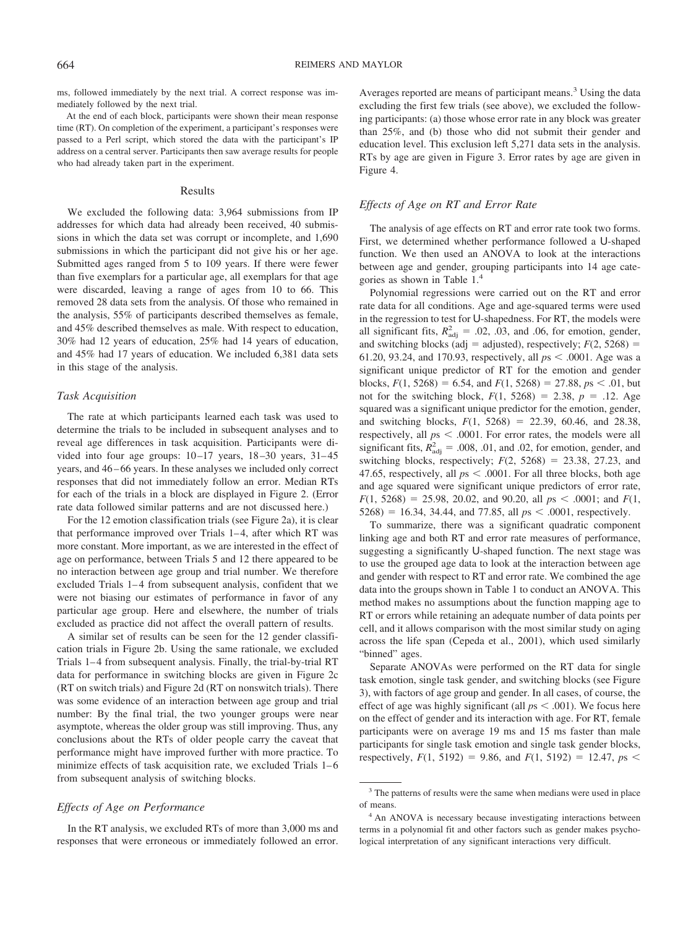ms, followed immediately by the next trial. A correct response was immediately followed by the next trial.

At the end of each block, participants were shown their mean response time (RT). On completion of the experiment, a participant's responses were passed to a Perl script, which stored the data with the participant's IP address on a central server. Participants then saw average results for people who had already taken part in the experiment.

### Results

We excluded the following data: 3,964 submissions from IP addresses for which data had already been received, 40 submissions in which the data set was corrupt or incomplete, and 1,690 submissions in which the participant did not give his or her age. Submitted ages ranged from 5 to 109 years. If there were fewer than five exemplars for a particular age, all exemplars for that age were discarded, leaving a range of ages from 10 to 66. This removed 28 data sets from the analysis. Of those who remained in the analysis, 55% of participants described themselves as female, and 45% described themselves as male. With respect to education, 30% had 12 years of education, 25% had 14 years of education, and 45% had 17 years of education. We included 6,381 data sets in this stage of the analysis.

### *Task Acquisition*

The rate at which participants learned each task was used to determine the trials to be included in subsequent analyses and to reveal age differences in task acquisition. Participants were divided into four age groups: 10–17 years, 18–30 years, 31–45 years, and 46–66 years. In these analyses we included only correct responses that did not immediately follow an error. Median RTs for each of the trials in a block are displayed in Figure 2. (Error rate data followed similar patterns and are not discussed here.)

For the 12 emotion classification trials (see Figure 2a), it is clear that performance improved over Trials 1–4, after which RT was more constant. More important, as we are interested in the effect of age on performance, between Trials 5 and 12 there appeared to be no interaction between age group and trial number. We therefore excluded Trials 1–4 from subsequent analysis, confident that we were not biasing our estimates of performance in favor of any particular age group. Here and elsewhere, the number of trials excluded as practice did not affect the overall pattern of results.

A similar set of results can be seen for the 12 gender classification trials in Figure 2b. Using the same rationale, we excluded Trials 1–4 from subsequent analysis. Finally, the trial-by-trial RT data for performance in switching blocks are given in Figure 2c (RT on switch trials) and Figure 2d (RT on nonswitch trials). There was some evidence of an interaction between age group and trial number: By the final trial, the two younger groups were near asymptote, whereas the older group was still improving. Thus, any conclusions about the RTs of older people carry the caveat that performance might have improved further with more practice. To minimize effects of task acquisition rate, we excluded Trials 1–6 from subsequent analysis of switching blocks.

# *Effects of Age on Performance*

In the RT analysis, we excluded RTs of more than 3,000 ms and responses that were erroneous or immediately followed an error.

Averages reported are means of participant means.<sup>3</sup> Using the data excluding the first few trials (see above), we excluded the following participants: (a) those whose error rate in any block was greater than 25%, and (b) those who did not submit their gender and education level. This exclusion left 5,271 data sets in the analysis. RTs by age are given in Figure 3. Error rates by age are given in Figure 4.

# *Effects of Age on RT and Error Rate*

The analysis of age effects on RT and error rate took two forms. First, we determined whether performance followed a U-shaped function. We then used an ANOVA to look at the interactions between age and gender, grouping participants into 14 age categories as shown in Table 1.4

Polynomial regressions were carried out on the RT and error rate data for all conditions. Age and age-squared terms were used in the regression to test for U-shapedness. For RT, the models were all significant fits,  $R_{\text{adj}}^2 = .02, .03,$  and .06, for emotion, gender, and switching blocks (adj = adjusted), respectively;  $F(2, 5268)$  = 61.20, 93.24, and 170.93, respectively, all  $ps < .0001$ . Age was a significant unique predictor of RT for the emotion and gender blocks,  $F(1, 5268) = 6.54$ , and  $F(1, 5268) = 27.88$ ,  $ps < .01$ , but not for the switching block,  $F(1, 5268) = 2.38$ ,  $p = .12$ . Age squared was a significant unique predictor for the emotion, gender, and switching blocks,  $F(1, 5268) = 22.39, 60.46,$  and 28.38, respectively, all  $ps < .0001$ . For error rates, the models were all significant fits,  $R_{\text{adj}}^2 = .008, .01$ , and .02, for emotion, gender, and switching blocks, respectively;  $F(2, 5268) = 23.38, 27.23,$  and 47.65, respectively, all  $ps < .0001$ . For all three blocks, both age and age squared were significant unique predictors of error rate,  $F(1, 5268) = 25.98, 20.02,$  and 90.20, all  $ps < .0001$ ; and  $F(1, 5268) = 25.98$ , 20.02, and 90.20, all  $ps < .0001$ ;  $5268$ ) = 16.34, 34.44, and 77.85, all  $ps < .0001$ , respectively.

To summarize, there was a significant quadratic component linking age and both RT and error rate measures of performance, suggesting a significantly U-shaped function. The next stage was to use the grouped age data to look at the interaction between age and gender with respect to RT and error rate. We combined the age data into the groups shown in Table 1 to conduct an ANOVA. This method makes no assumptions about the function mapping age to RT or errors while retaining an adequate number of data points per cell, and it allows comparison with the most similar study on aging across the life span (Cepeda et al., 2001), which used similarly "binned" ages.

Separate ANOVAs were performed on the RT data for single task emotion, single task gender, and switching blocks (see Figure 3), with factors of age group and gender. In all cases, of course, the effect of age was highly significant (all  $ps < .001$ ). We focus here on the effect of gender and its interaction with age. For RT, female participants were on average 19 ms and 15 ms faster than male participants for single task emotion and single task gender blocks, respectively,  $F(1, 5192) = 9.86$ , and  $F(1, 5192) = 12.47$ ,  $ps \leq$ 

<sup>&</sup>lt;sup>3</sup> The patterns of results were the same when medians were used in place of means.

<sup>&</sup>lt;sup>4</sup> An ANOVA is necessary because investigating interactions between terms in a polynomial fit and other factors such as gender makes psychological interpretation of any significant interactions very difficult.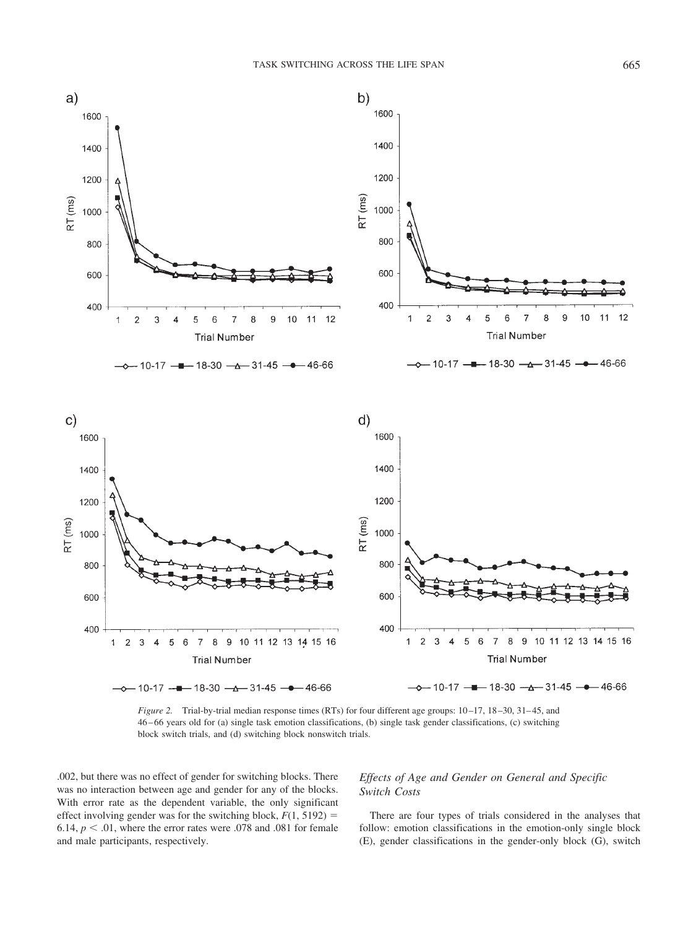

*Figure 2.* Trial-by-trial median response times (RTs) for four different age groups: 10–17, 18–30, 31–45, and 46–66 years old for (a) single task emotion classifications, (b) single task gender classifications, (c) switching block switch trials, and (d) switching block nonswitch trials.

.002, but there was no effect of gender for switching blocks. There was no interaction between age and gender for any of the blocks. With error rate as the dependent variable, the only significant effect involving gender was for the switching block,  $F(1, 5192) =$ 6.14,  $p < .01$ , where the error rates were  $.078$  and  $.081$  for female and male participants, respectively.

# *Effects of Age and Gender on General and Specific Switch Costs*

There are four types of trials considered in the analyses that follow: emotion classifications in the emotion-only single block (E), gender classifications in the gender-only block (G), switch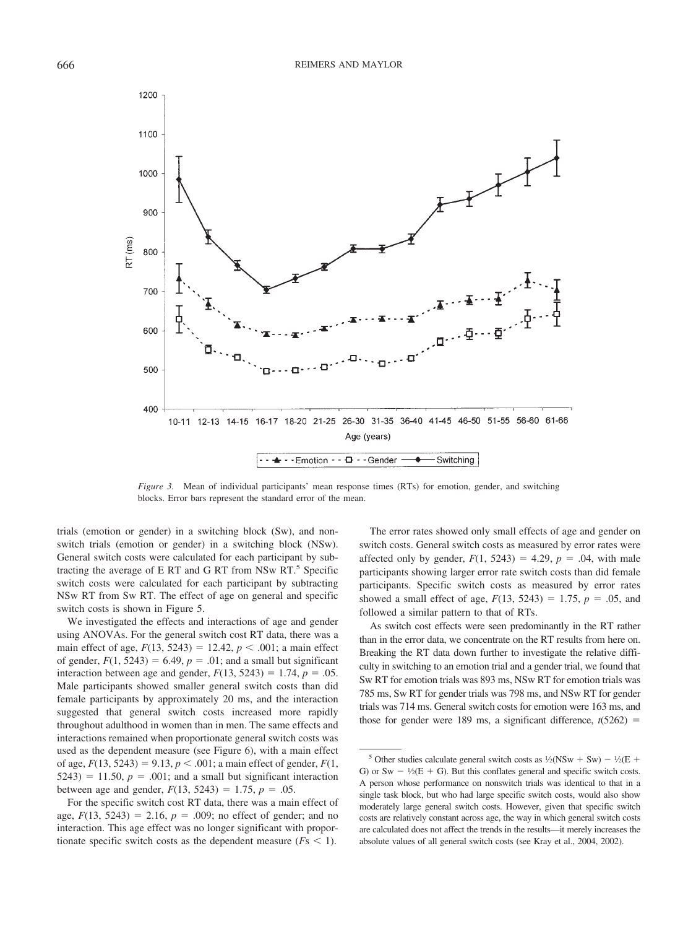

*Figure 3.* Mean of individual participants' mean response times (RTs) for emotion, gender, and switching blocks. Error bars represent the standard error of the mean.

trials (emotion or gender) in a switching block (Sw), and nonswitch trials (emotion or gender) in a switching block (NSw). General switch costs were calculated for each participant by subtracting the average of E RT and G RT from NSw RT. $<sup>5</sup>$  Specific</sup> switch costs were calculated for each participant by subtracting NSw RT from Sw RT. The effect of age on general and specific switch costs is shown in Figure 5.

We investigated the effects and interactions of age and gender using ANOVAs. For the general switch cost RT data, there was a main effect of age,  $F(13, 5243) = 12.42$ ,  $p < .001$ ; a main effect of gender,  $F(1, 5243) = 6.49$ ,  $p = .01$ ; and a small but significant interaction between age and gender,  $F(13, 5243) = 1.74$ ,  $p = .05$ . Male participants showed smaller general switch costs than did female participants by approximately 20 ms, and the interaction suggested that general switch costs increased more rapidly throughout adulthood in women than in men. The same effects and interactions remained when proportionate general switch costs was used as the dependent measure (see Figure 6), with a main effect of age,  $F(13, 5243) = 9.13, p < .001$ ; a main effect of gender,  $F(1, 5243) = 9.13, p < .001$ ; a main effect of gender,  $F(1, 5243) = 9.13, p < .001$ ; a main effect of gender,  $F(1, 5243) = 9.13, p < .001$ ; a main effect of gender,  $F(1$  $5243$ ) = 11.50,  $p = .001$ ; and a small but significant interaction between age and gender,  $F(13, 5243) = 1.75$ ,  $p = .05$ .

For the specific switch cost RT data, there was a main effect of age,  $F(13, 5243) = 2.16$ ,  $p = .009$ ; no effect of gender; and no interaction. This age effect was no longer significant with proportionate specific switch costs as the dependent measure  $(Fs \leq 1)$ .

The error rates showed only small effects of age and gender on switch costs. General switch costs as measured by error rates were affected only by gender,  $F(1, 5243) = 4.29$ ,  $p = .04$ , with male participants showing larger error rate switch costs than did female participants. Specific switch costs as measured by error rates showed a small effect of age,  $F(13, 5243) = 1.75$ ,  $p = .05$ , and followed a similar pattern to that of RTs.

As switch cost effects were seen predominantly in the RT rather than in the error data, we concentrate on the RT results from here on. Breaking the RT data down further to investigate the relative difficulty in switching to an emotion trial and a gender trial, we found that Sw RT for emotion trials was 893 ms, NSw RT for emotion trials was 785 ms, Sw RT for gender trials was 798 ms, and NSw RT for gender trials was 714 ms. General switch costs for emotion were 163 ms, and those for gender were 189 ms, a significant difference,  $t(5262)$  =

<sup>&</sup>lt;sup>5</sup> Other studies calculate general switch costs as  $\frac{1}{2}$ (NSw + Sw) -  $\frac{1}{2}$ (E + G) or Sw  $-$  1/2(E + G). But this conflates general and specific switch costs. A person whose performance on nonswitch trials was identical to that in a single task block, but who had large specific switch costs, would also show moderately large general switch costs. However, given that specific switch costs are relatively constant across age, the way in which general switch costs are calculated does not affect the trends in the results—it merely increases the absolute values of all general switch costs (see Kray et al., 2004, 2002).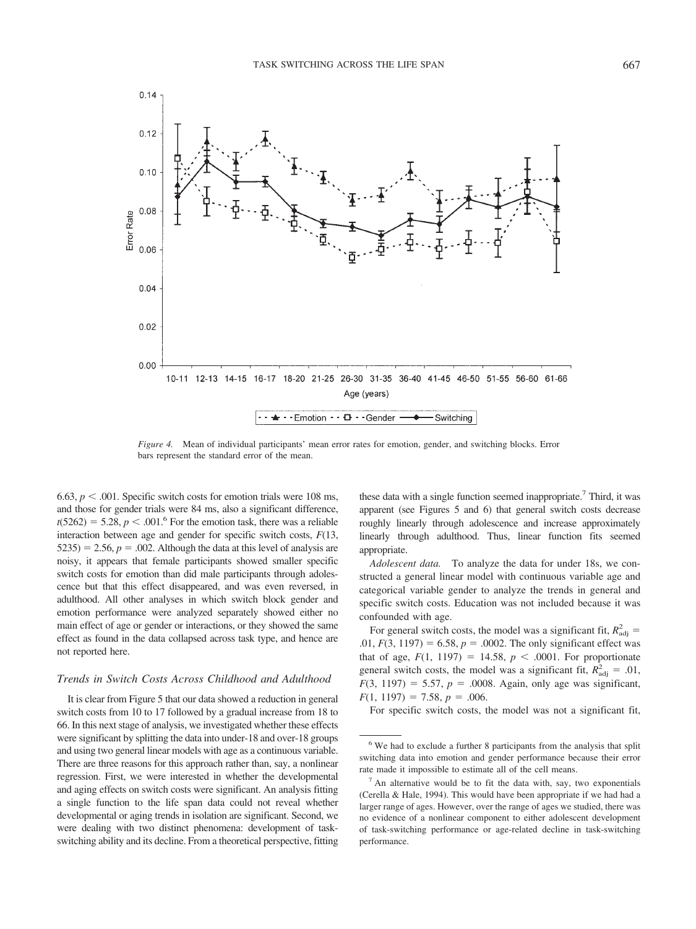

*Figure 4.* Mean of individual participants' mean error rates for emotion, gender, and switching blocks. Error bars represent the standard error of the mean.

6.63,  $p < .001$ . Specific switch costs for emotion trials were 108 ms, and those for gender trials were 84 ms, also a significant difference,  $t(5262) = 5.28, p < .001<sup>6</sup>$  For the emotion task, there was a reliable interaction between age and gender for specific switch costs, *F*(13,  $5235$ ) = 2.56,  $p = 0.002$ . Although the data at this level of analysis are noisy, it appears that female participants showed smaller specific switch costs for emotion than did male participants through adolescence but that this effect disappeared, and was even reversed, in adulthood. All other analyses in which switch block gender and emotion performance were analyzed separately showed either no main effect of age or gender or interactions, or they showed the same effect as found in the data collapsed across task type, and hence are not reported here.

# *Trends in Switch Costs Across Childhood and Adulthood*

It is clear from Figure 5 that our data showed a reduction in general switch costs from 10 to 17 followed by a gradual increase from 18 to 66. In this next stage of analysis, we investigated whether these effects were significant by splitting the data into under-18 and over-18 groups and using two general linear models with age as a continuous variable. There are three reasons for this approach rather than, say, a nonlinear regression. First, we were interested in whether the developmental and aging effects on switch costs were significant. An analysis fitting a single function to the life span data could not reveal whether developmental or aging trends in isolation are significant. Second, we were dealing with two distinct phenomena: development of taskswitching ability and its decline. From a theoretical perspective, fitting these data with a single function seemed inappropriate.<sup>7</sup> Third, it was apparent (see Figures 5 and 6) that general switch costs decrease roughly linearly through adolescence and increase approximately linearly through adulthood. Thus, linear function fits seemed appropriate.

*Adolescent data.* To analyze the data for under 18s, we constructed a general linear model with continuous variable age and categorical variable gender to analyze the trends in general and specific switch costs. Education was not included because it was confounded with age.

For general switch costs, the model was a significant fit,  $R_{\text{adj}}^2$  = .01,  $F(3, 1197) = 6.58$ ,  $p = .0002$ . The only significant effect was that of age,  $F(1, 1197) = 14.58$ ,  $p < .0001$ . For proportionate general switch costs, the model was a significant fit,  $R_{\text{adj}}^2 = .01$ ,  $F(3, 1197) = 5.57$ ,  $p = .0008$ . Again, only age was significant,  $F(1, 1197) = 7.58, p = .006.$ 

For specific switch costs, the model was not a significant fit,

<sup>6</sup> We had to exclude a further 8 participants from the analysis that split switching data into emotion and gender performance because their error rate made it impossible to estimate all of the cell means.

 $<sup>7</sup>$  An alternative would be to fit the data with, say, two exponentials</sup> (Cerella & Hale, 1994). This would have been appropriate if we had had a larger range of ages. However, over the range of ages we studied, there was no evidence of a nonlinear component to either adolescent development of task-switching performance or age-related decline in task-switching performance.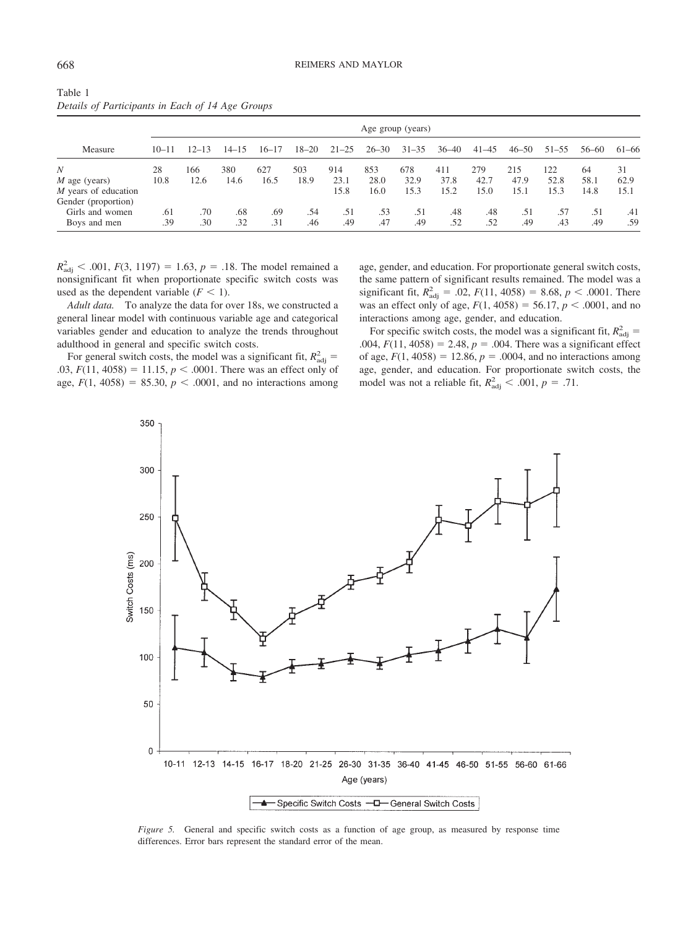| Measure              | Age group (years) |           |           |           |       |           |           |           |           |           |           |           |       |       |
|----------------------|-------------------|-----------|-----------|-----------|-------|-----------|-----------|-----------|-----------|-----------|-----------|-----------|-------|-------|
|                      | $10 - 11$         | $12 - 13$ | $14 - 15$ | $16 - 17$ | 18–20 | $21 - 25$ | $26 - 30$ | $31 - 35$ | $36 - 40$ | $41 - 45$ | $46 - 50$ | $51 - 55$ | 56–60 | 61–66 |
| Ν                    | 28                | 166       | 380       | 627       | 503   | 914       | 853       | 678       | 411       | 279       | 215       | 122       | 64    | 31    |
| $M$ age (years)      | 10.8              | 12.6      | 14.6      | 16.5      | 18.9  | 23.1      | 28.0      | 32.9      | 37.8      | 42.7      | 47.9      | 52.8      | 58.1  | 62.9  |
| M years of education |                   |           |           |           |       | 15.8      | 16.0      | 15.3      | 15.2      | 15.0      | 15.1      | 15.3      | 14.8  | 15.1  |
| Gender (proportion)  |                   |           |           |           |       |           |           |           |           |           |           |           |       |       |
| Girls and women      | .61               | .70       | .68       | .69       | .54   | .51       | .53       | .51       | .48       | .48       | .51       | .57       | .51   | .41   |
| Boys and men         | .39               | .30       | .32       | .31       | .46   | .49       | .47       | .49       | .52       | .52       | .49       | .43       | .49   | .59   |

| Table 1                                          |  |  |  |  |
|--------------------------------------------------|--|--|--|--|
| Details of Participants in Each of 14 Age Groups |  |  |  |  |

 $R_{\text{adj}}^2$  < .001,  $F(3, 1197) = 1.63$ ,  $p = .18$ . The model remained a nonsignificant fit when proportionate specific switch costs was used as the dependent variable  $(F \leq 1)$ .

*Adult data.* To analyze the data for over 18s, we constructed a general linear model with continuous variable age and categorical variables gender and education to analyze the trends throughout adulthood in general and specific switch costs.

For general switch costs, the model was a significant fit,  $R_{\text{adj}}^2$  =  $.03, F(11, 4058) = 11.15, p < .0001$ . There was an effect only of age,  $F(1, 4058) = 85.30, p < .0001$ , and no interactions among age, gender, and education. For proportionate general switch costs, the same pattern of significant results remained. The model was a significant fit,  $R_{\text{adj}}^2 = .02$ ,  $F(11, 4058) = 8.68$ ,  $p < .0001$ . There was an effect only of age,  $F(1, 4058) = 56.17$ ,  $p < .0001$ , and no interactions among age, gender, and education.

For specific switch costs, the model was a significant fit,  $R_{\text{adj}}^2$  =  $.004, F(11, 4058) = 2.48, p = .004$ . There was a significant effect of age,  $F(1, 4058) = 12.86$ ,  $p = .0004$ , and no interactions among age, gender, and education. For proportionate switch costs, the model was not a reliable fit,  $R_{\text{adj}}^2 < .001$ ,  $p = .71$ .



*Figure 5.* General and specific switch costs as a function of age group, as measured by response time differences. Error bars represent the standard error of the mean.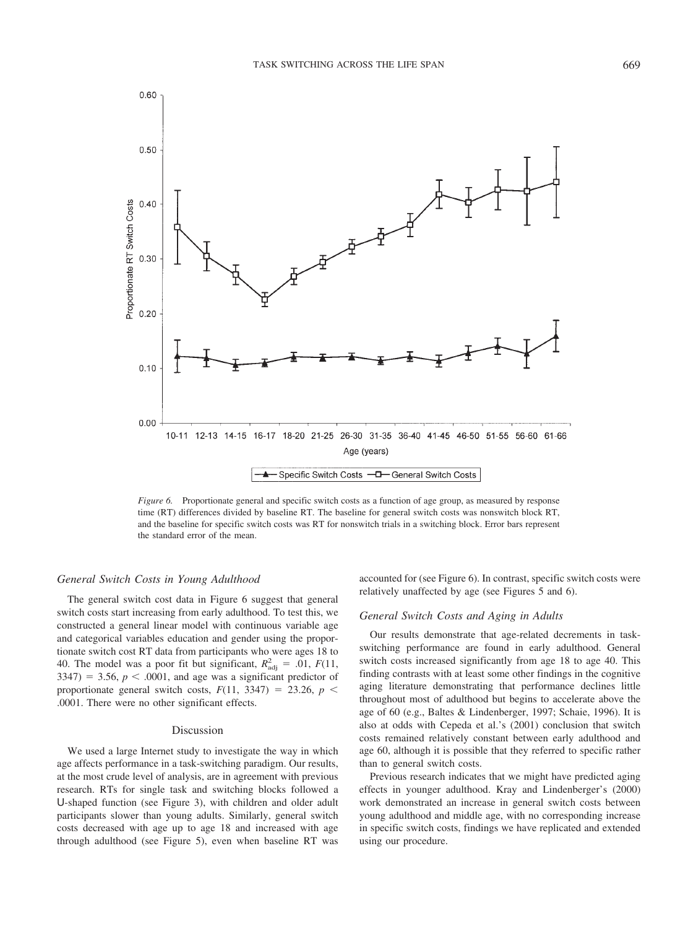

*Figure 6.* Proportionate general and specific switch costs as a function of age group, as measured by response time (RT) differences divided by baseline RT. The baseline for general switch costs was nonswitch block RT, and the baseline for specific switch costs was RT for nonswitch trials in a switching block. Error bars represent the standard error of the mean.

# *General Switch Costs in Young Adulthood*

The general switch cost data in Figure 6 suggest that general switch costs start increasing from early adulthood. To test this, we constructed a general linear model with continuous variable age and categorical variables education and gender using the proportionate switch cost RT data from participants who were ages 18 to 40. The model was a poor fit but significant,  $R_{\text{adj}}^2 = .01$ ,  $F(11)$ ,  $3347$ ) = 3.56,  $p < .0001$ , and age was a significant predictor of proportionate general switch costs,  $F(11, 3347) = 23.26$ ,  $p <$ .0001. There were no other significant effects.

### Discussion

We used a large Internet study to investigate the way in which age affects performance in a task-switching paradigm. Our results, at the most crude level of analysis, are in agreement with previous research. RTs for single task and switching blocks followed a U-shaped function (see Figure 3), with children and older adult participants slower than young adults. Similarly, general switch costs decreased with age up to age 18 and increased with age through adulthood (see Figure 5), even when baseline RT was accounted for (see Figure 6). In contrast, specific switch costs were relatively unaffected by age (see Figures 5 and 6).

### *General Switch Costs and Aging in Adults*

Our results demonstrate that age-related decrements in taskswitching performance are found in early adulthood. General switch costs increased significantly from age 18 to age 40. This finding contrasts with at least some other findings in the cognitive aging literature demonstrating that performance declines little throughout most of adulthood but begins to accelerate above the age of 60 (e.g., Baltes & Lindenberger, 1997; Schaie, 1996). It is also at odds with Cepeda et al.'s (2001) conclusion that switch costs remained relatively constant between early adulthood and age 60, although it is possible that they referred to specific rather than to general switch costs.

Previous research indicates that we might have predicted aging effects in younger adulthood. Kray and Lindenberger's (2000) work demonstrated an increase in general switch costs between young adulthood and middle age, with no corresponding increase in specific switch costs, findings we have replicated and extended using our procedure.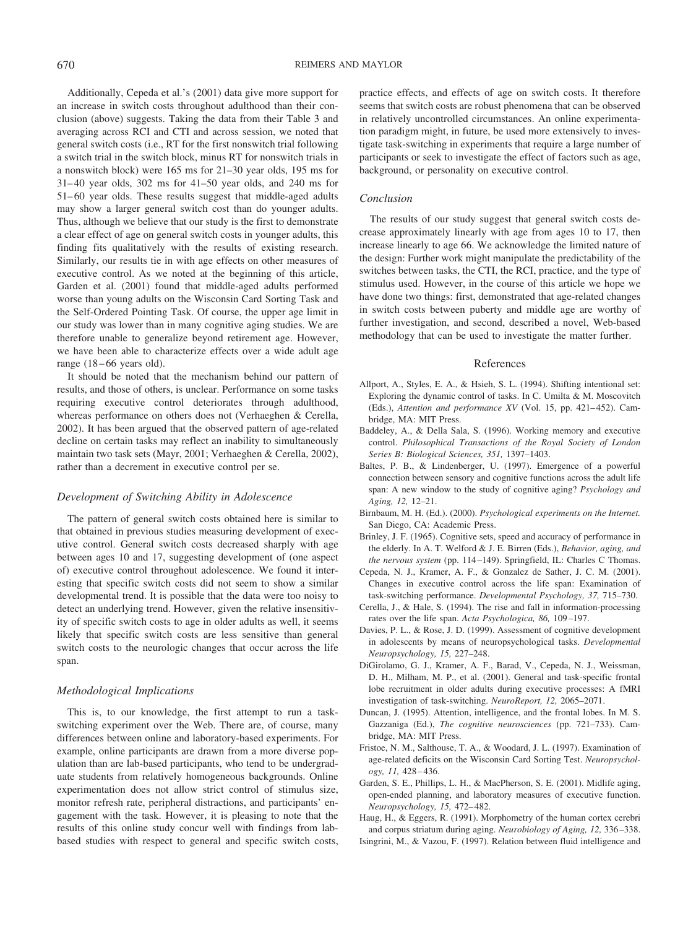Additionally, Cepeda et al.'s (2001) data give more support for an increase in switch costs throughout adulthood than their conclusion (above) suggests. Taking the data from their Table 3 and averaging across RCI and CTI and across session, we noted that general switch costs (i.e., RT for the first nonswitch trial following a switch trial in the switch block, minus RT for nonswitch trials in a nonswitch block) were 165 ms for 21–30 year olds, 195 ms for 31–40 year olds, 302 ms for 41–50 year olds, and 240 ms for 51–60 year olds. These results suggest that middle-aged adults may show a larger general switch cost than do younger adults. Thus, although we believe that our study is the first to demonstrate a clear effect of age on general switch costs in younger adults, this finding fits qualitatively with the results of existing research. Similarly, our results tie in with age effects on other measures of executive control. As we noted at the beginning of this article, Garden et al. (2001) found that middle-aged adults performed worse than young adults on the Wisconsin Card Sorting Task and the Self-Ordered Pointing Task. Of course, the upper age limit in our study was lower than in many cognitive aging studies. We are therefore unable to generalize beyond retirement age. However, we have been able to characterize effects over a wide adult age range (18–66 years old).

It should be noted that the mechanism behind our pattern of results, and those of others, is unclear. Performance on some tasks requiring executive control deteriorates through adulthood, whereas performance on others does not (Verhaeghen & Cerella, 2002). It has been argued that the observed pattern of age-related decline on certain tasks may reflect an inability to simultaneously maintain two task sets (Mayr, 2001; Verhaeghen & Cerella, 2002), rather than a decrement in executive control per se.

# *Development of Switching Ability in Adolescence*

The pattern of general switch costs obtained here is similar to that obtained in previous studies measuring development of executive control. General switch costs decreased sharply with age between ages 10 and 17, suggesting development of (one aspect of) executive control throughout adolescence. We found it interesting that specific switch costs did not seem to show a similar developmental trend. It is possible that the data were too noisy to detect an underlying trend. However, given the relative insensitivity of specific switch costs to age in older adults as well, it seems likely that specific switch costs are less sensitive than general switch costs to the neurologic changes that occur across the life span.

# *Methodological Implications*

This is, to our knowledge, the first attempt to run a taskswitching experiment over the Web. There are, of course, many differences between online and laboratory-based experiments. For example, online participants are drawn from a more diverse population than are lab-based participants, who tend to be undergraduate students from relatively homogeneous backgrounds. Online experimentation does not allow strict control of stimulus size, monitor refresh rate, peripheral distractions, and participants' engagement with the task. However, it is pleasing to note that the results of this online study concur well with findings from labbased studies with respect to general and specific switch costs, practice effects, and effects of age on switch costs. It therefore seems that switch costs are robust phenomena that can be observed in relatively uncontrolled circumstances. An online experimentation paradigm might, in future, be used more extensively to investigate task-switching in experiments that require a large number of participants or seek to investigate the effect of factors such as age, background, or personality on executive control.

# *Conclusion*

The results of our study suggest that general switch costs decrease approximately linearly with age from ages 10 to 17, then increase linearly to age 66. We acknowledge the limited nature of the design: Further work might manipulate the predictability of the switches between tasks, the CTI, the RCI, practice, and the type of stimulus used. However, in the course of this article we hope we have done two things: first, demonstrated that age-related changes in switch costs between puberty and middle age are worthy of further investigation, and second, described a novel, Web-based methodology that can be used to investigate the matter further.

#### References

- Allport, A., Styles, E. A., & Hsieh, S. L. (1994). Shifting intentional set: Exploring the dynamic control of tasks. In C. Umilta & M. Moscovitch (Eds.), *Attention and performance XV* (Vol. 15, pp. 421–452). Cambridge, MA: MIT Press.
- Baddeley, A., & Della Sala, S. (1996). Working memory and executive control. *Philosophical Transactions of the Royal Society of London Series B: Biological Sciences, 351,* 1397–1403.
- Baltes, P. B., & Lindenberger, U. (1997). Emergence of a powerful connection between sensory and cognitive functions across the adult life span: A new window to the study of cognitive aging? *Psychology and Aging, 12,* 12–21.
- Birnbaum, M. H. (Ed.). (2000). *Psychological experiments on the Internet.* San Diego, CA: Academic Press.
- Brinley, J. F. (1965). Cognitive sets, speed and accuracy of performance in the elderly. In A. T. Welford & J. E. Birren (Eds.), *Behavior, aging, and the nervous system* (pp. 114–149). Springfield, IL: Charles C Thomas.
- Cepeda, N. J., Kramer, A. F., & Gonzalez de Sather, J. C. M. (2001). Changes in executive control across the life span: Examination of task-switching performance. *Developmental Psychology, 37,* 715–730.
- Cerella, J., & Hale, S. (1994). The rise and fall in information-processing rates over the life span. *Acta Psychologica, 86,* 109–197.
- Davies, P. L., & Rose, J. D. (1999). Assessment of cognitive development in adolescents by means of neuropsychological tasks. *Developmental Neuropsychology, 15,* 227–248.
- DiGirolamo, G. J., Kramer, A. F., Barad, V., Cepeda, N. J., Weissman, D. H., Milham, M. P., et al. (2001). General and task-specific frontal lobe recruitment in older adults during executive processes: A fMRI investigation of task-switching. *NeuroReport, 12,* 2065–2071.
- Duncan, J. (1995). Attention, intelligence, and the frontal lobes. In M. S. Gazzaniga (Ed.), *The cognitive neurosciences* (pp. 721–733). Cambridge, MA: MIT Press.
- Fristoe, N. M., Salthouse, T. A., & Woodard, J. L. (1997). Examination of age-related deficits on the Wisconsin Card Sorting Test. *Neuropsychology, 11,* 428–436.
- Garden, S. E., Phillips, L. H., & MacPherson, S. E. (2001). Midlife aging, open-ended planning, and laboratory measures of executive function. *Neuropsychology, 15,* 472–482.
- Haug, H., & Eggers, R. (1991). Morphometry of the human cortex cerebri and corpus striatum during aging. *Neurobiology of Aging, 12,* 336–338.
- Isingrini, M., & Vazou, F. (1997). Relation between fluid intelligence and